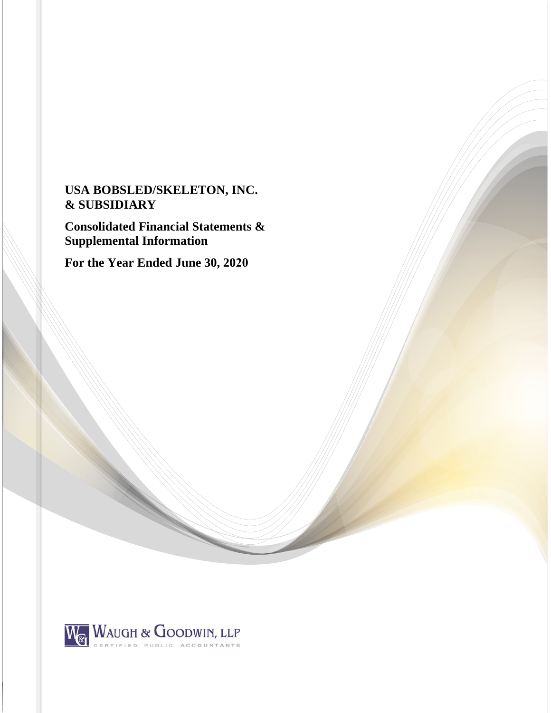# **USA BOBSLED/SKELETON, INC. & SUBSIDIARY**

**Consolidated Financial Statements & Supplemental Information** 

**For the Year Ended June 30, 2020**

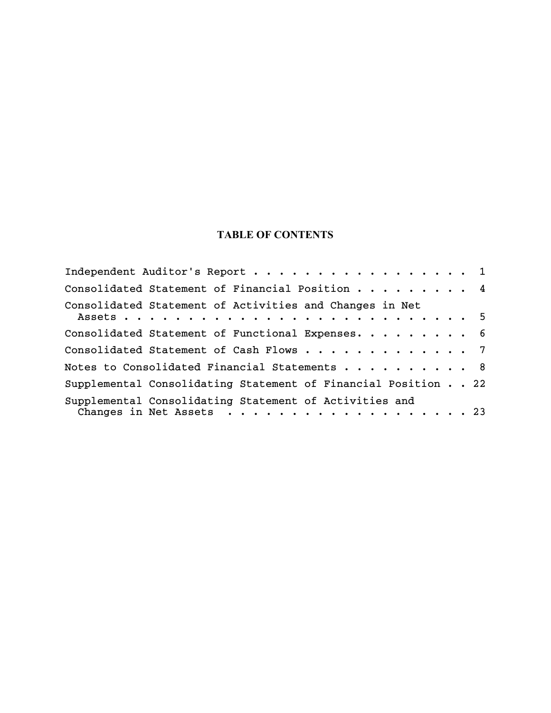# **TABLE OF CONTENTS**

| Independent Auditor's Report 1                                                     |  |
|------------------------------------------------------------------------------------|--|
| Consolidated Statement of Financial Position 4                                     |  |
| Consolidated Statement of Activities and Changes in Net                            |  |
| Consolidated Statement of Functional Expenses. 6                                   |  |
| Consolidated Statement of Cash Flows 7                                             |  |
| Notes to Consolidated Financial Statements 8                                       |  |
| Supplemental Consolidating Statement of Financial Position 22                      |  |
| Supplemental Consolidating Statement of Activities and<br>Changes in Net Assets 23 |  |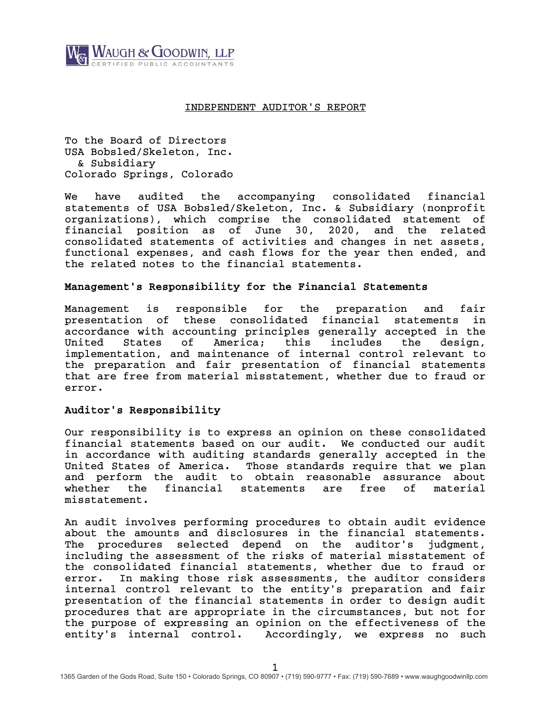

# INDEPENDENT AUDITOR'S REPORT

To the Board of Directors USA Bobsled/Skeleton, Inc. & Subsidiary Colorado Springs, Colorado

We have audited the accompanying consolidated financial statements of USA Bobsled/Skeleton, Inc. & Subsidiary (nonprofit organizations), which comprise the consolidated statement of financial position as of June 30, 2020, and the related consolidated statements of activities and changes in net assets, functional expenses, and cash flows for the year then ended, and the related notes to the financial statements.

# Management's Responsibility for the Financial Statements

Management is responsible for the preparation and fair presentation of these consolidated financial statements in accordance with accounting principles generally accepted in the United States of America; this includes the design, implementation, and maintenance of internal control relevant to the preparation and fair presentation of financial statements that are free from material misstatement, whether due to fraud or error.

# Auditor's Responsibility

Our responsibility is to express an opinion on these consolidated financial statements based on our audit. We conducted our audit in accordance with auditing standards generally accepted in the United States of America. Those standards require that we plan and perform the audit to obtain reasonable assurance about whether the financial statements are free of material misstatement.

An audit involves performing procedures to obtain audit evidence about the amounts and disclosures in the financial statements. The procedures selected depend on the auditor's judgment, including the assessment of the risks of material misstatement of the consolidated financial statements, whether due to fraud or error. In making those risk assessments, the auditor considers internal control relevant to the entity's preparation and fair presentation of the financial statements in order to design audit procedures that are appropriate in the circumstances, but not for the purpose of expressing an opinion on the effectiveness of the entity's internal control. Accordingly, we express no such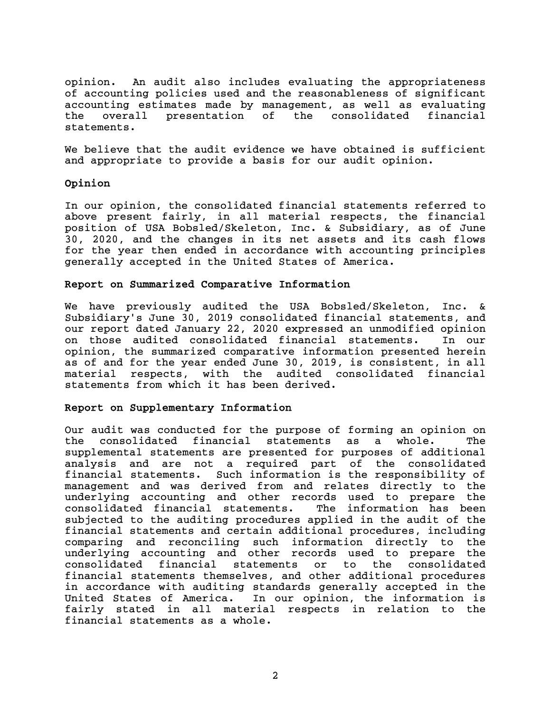opinion. An audit also includes evaluating the appropriateness of accounting policies used and the reasonableness of significant accounting estimates made by management, as well as evaluating the overall presentation of the consolidated financial statements.

We believe that the audit evidence we have obtained is sufficient and appropriate to provide a basis for our audit opinion.

# Opinion

In our opinion, the consolidated financial statements referred to above present fairly, in all material respects, the financial position of USA Bobsled/Skeleton, Inc. & Subsidiary, as of June 30, 2020, and the changes in its net assets and its cash flows for the year then ended in accordance with accounting principles generally accepted in the United States of America.

# Report on Summarized Comparative Information

We have previously audited the USA Bobsled/Skeleton, Inc. & Subsidiary's June 30, 2019 consolidated financial statements, and our report dated January 22, 2020 expressed an unmodified opinion on those audited consolidated financial statements. In our opinion, the summarized comparative information presented herein as of and for the year ended June 30, 2019, is consistent, in all material respects, with the audited consolidated financial statements from which it has been derived.

# Report on Supplementary Information

Our audit was conducted for the purpose of forming an opinion on the consolidated financial statements as a whole. The supplemental statements are presented for purposes of additional analysis and are not a required part of the consolidated financial statements. Such information is the responsibility of management and was derived from and relates directly to the underlying accounting and other records used to prepare the consolidated financial statements. subjected to the auditing procedures applied in the audit of the financial statements and certain additional procedures, including comparing and reconciling such information directly to the underlying accounting and other records used to prepare the consolidated financial statements or to the consolidated financial statements themselves, and other additional procedures in accordance with auditing standards generally accepted in the United States of America. In our opinion, the information is fairly stated in all material respects in relation to the financial statements as a whole.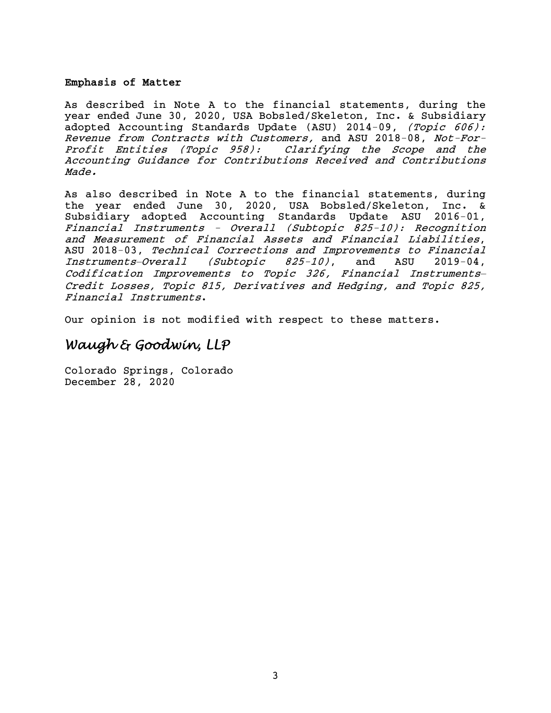# Emphasis of Matter

As described in Note A to the financial statements, during the year ended June 30, 2020, USA Bobsled/Skeleton, Inc. & Subsidiary adopted Accounting Standards Update (ASU) 2014-09, (Topic 606): Revenue from Contracts with Customers, and ASU 2018-08, Not-For-Profit Entities (Topic 958): Clarifying the Scope and the Accounting Guidance for Contributions Received and Contributions Made.

As also described in Note A to the financial statements, during the year ended June 30, 2020, USA Bobsled/Skeleton, Inc. & Subsidiary adopted Accounting Standards Update ASU 2016-01, Financial Instruments - Overall (Subtopic 825-10): Recognition and Measurement of Financial Assets and Financial Liabilities, ASU 2018-03, Technical Corrections and Improvements to Financial Instruments*—*Overall (Subtopic 825-10), and ASU 2019-04, Codification Improvements to Topic 326, Financial Instruments*—* Credit Losses, Topic 815, Derivatives and Hedging, and Topic 825, Financial Instruments.

Our opinion is not modified with respect to these matters.

# *Waugh & Goodwin, LLP*

Colorado Springs, Colorado December 28, 2020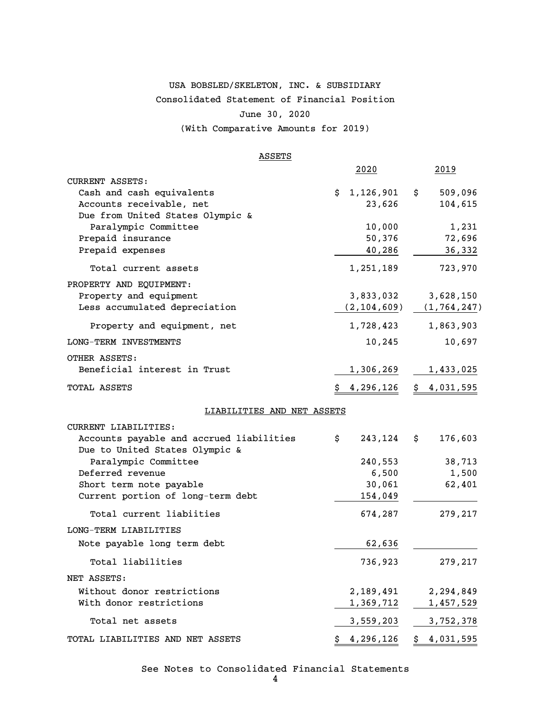# USA BOBSLED/SKELETON, INC. & SUBSIDIARY Consolidated Statement of Financial Position June 30, 2020 (With Comparative Amounts for 2019)

### **ASSETS**

|                                                     | 2020             | 2019                            |
|-----------------------------------------------------|------------------|---------------------------------|
| <b>CURRENT ASSETS:</b><br>Cash and cash equivalents | 1,126,901<br>\$  | $\ddot{\mathsf{s}}$<br>509,096  |
| Accounts receivable, net                            | 23,626           | 104,615                         |
| Due from United States Olympic &                    |                  |                                 |
| Paralympic Committee                                | 10,000           | 1,231                           |
| Prepaid insurance                                   | 50,376           | 72,696                          |
| Prepaid expenses                                    | 40,286           | 36,332                          |
| Total current assets                                | 1,251,189        | 723,970                         |
| PROPERTY AND EQUIPMENT:                             |                  |                                 |
| Property and equipment                              | 3,833,032        | 3,628,150                       |
| Less accumulated depreciation                       |                  | $(2, 104, 609)$ $(1, 764, 247)$ |
| Property and equipment, net                         | 1,728,423        | 1,863,903                       |
| LONG-TERM INVESTMENTS                               | 10,245           | 10,697                          |
| OTHER ASSETS:                                       |                  |                                 |
| Beneficial interest in Trust                        | 1,306,269        | 1,433,025                       |
| TOTAL ASSETS                                        | <u>4,296,126</u> | \$4,031,595                     |
| LIABILITIES AND NET ASSETS                          |                  |                                 |
| CURRENT LIABILITIES:                                |                  |                                 |
| Accounts payable and accrued liabilities            | 243,124<br>\$    | 176,603<br>\$                   |
| Due to United States Olympic &                      |                  |                                 |
| Paralympic Committee                                | 240,553          | 38,713                          |
| Deferred revenue                                    | 6,500            | 1,500                           |
| Short term note payable                             | 30,061           | 62,401                          |
| Current portion of long-term debt                   | 154,049          |                                 |
| Total current liabiities                            | 674,287          | 279,217                         |
| LONG-TERM LIABILITIES                               |                  |                                 |
| Note payable long term debt                         | 62,636           |                                 |
| Total liabilities                                   | 736,923          | 279,217                         |
| NET ASSETS:                                         |                  |                                 |
| Without donor restrictions                          | 2,189,491        | 2,294,849                       |
| With donor restrictions                             | 1,369,712        | 1,457,529                       |
| Total net assets                                    | 3,559,203        | 3,752,378                       |
| TOTAL LIABILITIES AND NET ASSETS                    | \$4,296,126      | \$4,031,595                     |

See Notes to Consolidated Financial Statements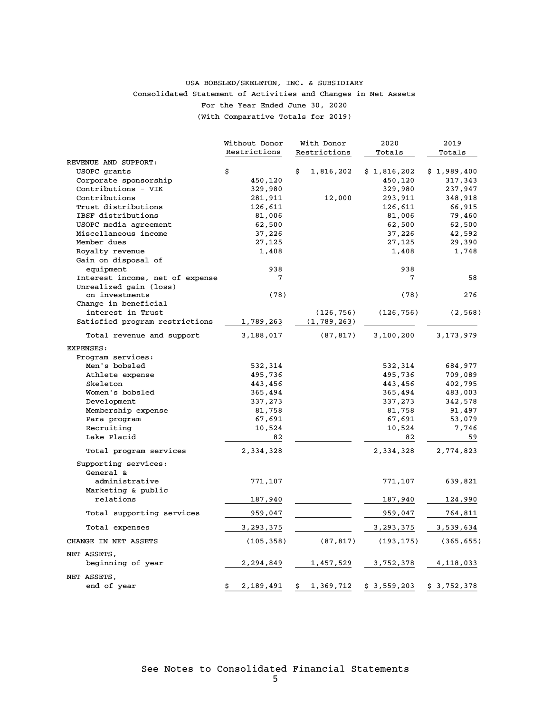# Consolidated Statement of Activities and Changes in Net Assets For the Year Ended June 30, 2020 (With Comparative Totals for 2019) USA BOBSLED/SKELETON, INC. & SUBSIDIARY

|                                 | Without Donor   | 2020<br>With Donor |             | 2019        |
|---------------------------------|-----------------|--------------------|-------------|-------------|
|                                 | Restrictions    | Restrictions       | Totals      | Totals      |
| REVENUE AND SUPPORT:            |                 |                    |             |             |
| USOPC grants                    | \$              | \$<br>1,816,202    | \$1,816,202 | \$1,989,400 |
| Corporate sponsorship           | 450,120         |                    | 450,120     | 317,343     |
| Contributions - VIK             | 329,980         |                    | 329,980     | 237,947     |
| Contributions                   | 281,911         | 12,000             | 293,911     | 348,918     |
| Trust distributions             | 126,611         |                    | 126,611     | 66,915      |
| IBSF distributions              | 81,006          |                    | 81,006      | 79,460      |
| USOPC media agreement           | 62,500          |                    | 62,500      | 62,500      |
| Miscellaneous income            | 37,226          |                    | 37,226      | 42,592      |
| Member dues                     | 27,125          |                    | 27,125      | 29,390      |
| Royalty revenue                 | 1,408           |                    | 1,408       | 1,748       |
| Gain on disposal of             |                 |                    |             |             |
| equipment                       | 938             |                    | 938         |             |
| Interest income, net of expense | 7               |                    | 7           | 58          |
| Unrealized gain (loss)          |                 |                    |             |             |
| on investments                  | (78)            |                    | (78)        | 276         |
| Change in beneficial            |                 |                    |             |             |
| interest in Trust               |                 | (126, 756)         | (126, 756)  | (2, 568)    |
| Satisfied program restrictions  | 1,789,263       | (1, 789, 263)      |             |             |
| Total revenue and support       | 3,188,017       | (87, 817)          | 3,100,200   | 3,173,979   |
| <b>EXPENSES:</b>                |                 |                    |             |             |
| Program services:               |                 |                    |             |             |
| Men's bobsled                   | 532,314         |                    | 532,314     | 684,977     |
| Athlete expense                 | 495,736         |                    | 495,736     | 709,089     |
| Skeleton                        | 443,456         |                    | 443,456     | 402,795     |
| Women's bobsled                 | 365,494         |                    | 365,494     | 483,003     |
| Development                     | 337,273         |                    | 337,273     | 342,578     |
| Membership expense              | 81,758          |                    | 81,758      | 91,497      |
| Para program                    | 67,691          |                    | 67,691      | 53,079      |
| Recruiting                      | 10,524          |                    | 10,524      | 7,746       |
| Lake Placid                     | 82              |                    | 82          | 59          |
| Total program services          | 2,334,328       |                    | 2,334,328   | 2,774,823   |
| Supporting services:            |                 |                    |             |             |
| General &                       |                 |                    |             |             |
| administrative                  | 771,107         |                    | 771,107     | 639,821     |
| Marketing & public              |                 |                    |             |             |
| relations                       | 187,940         |                    | 187,940     | 124,990     |
| Total supporting services       | 959,047         |                    | 959,047     | 764,811     |
| Total expenses                  | 3,293,375       |                    | 3,293,375   | 3,539,634   |
|                                 |                 |                    |             |             |
| CHANGE IN NET ASSETS            | (105, 358)      | (87, 817)          | (193, 175)  | (365, 655)  |
| NET ASSETS,                     |                 |                    |             |             |
| beginning of year               | 2,294,849       | 1,457,529          | 3,752,378   | 4, 118, 033 |
| NET ASSETS,                     |                 |                    |             |             |
| end of year                     | 2,189,491<br>\$ | 1,369,712<br>\$    | \$3,559,203 | \$3,752,378 |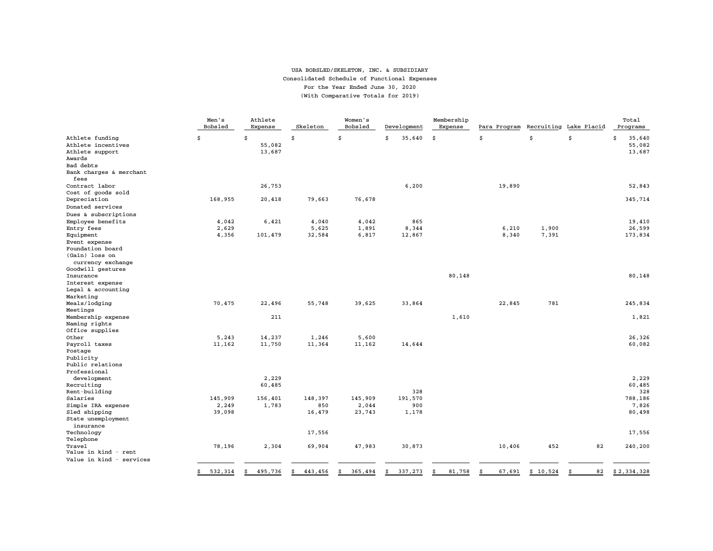#### USA BOBSLED/SKELETON, INC. & SUBSIDIARY Consolidated Schedule of Functional Expenses For the Year Ended June 30, 2020 (With Comparative Totals for 2019)

|                                       | Men's<br>Bobsled | Athlete<br>Expense | Skeleton      | Women's<br>Bobsled | Development   | Membership<br>Expense | Para Program | Recruiting | Lake Placid | Total<br>Programs     |
|---------------------------------------|------------------|--------------------|---------------|--------------------|---------------|-----------------------|--------------|------------|-------------|-----------------------|
| Athlete funding<br>Athlete incentives | \$               | \$<br>55,082       | \$            | Ś                  | 35,640<br>\$  | \$                    | \$           | \$         | \$          | 35,640<br>Ś<br>55,082 |
| Athlete support                       |                  | 13,687             |               |                    |               |                       |              |            |             | 13,687                |
| Awards                                |                  |                    |               |                    |               |                       |              |            |             |                       |
| Bad debts                             |                  |                    |               |                    |               |                       |              |            |             |                       |
| Bank charges & merchant<br>fees       |                  |                    |               |                    |               |                       |              |            |             |                       |
| Contract labor                        |                  | 26,753             |               |                    | 6,200         |                       | 19,890       |            |             | 52,843                |
| Cost of goods sold                    |                  |                    |               |                    |               |                       |              |            |             |                       |
| Depreciation                          | 168,955          | 20,418             | 79,663        | 76,678             |               |                       |              |            |             | 345,714               |
| Donated services                      |                  |                    |               |                    |               |                       |              |            |             |                       |
| Dues & subscriptions                  |                  |                    |               |                    |               |                       |              |            |             |                       |
| Employee benefits                     | 4,042            | 6,421              | 4,040         | 4,042              | 865           |                       |              |            |             | 19,410                |
| Entry fees                            | 2,629            |                    | 5,625         | 1,891              | 8,344         |                       | 6,210        | 1,900      |             | 26,599                |
| Equipment                             | 4,356            | 101,479            | 32,584        | 6,817              | 12,867        |                       | 8,340        | 7,391      |             | 173,834               |
| Event expense                         |                  |                    |               |                    |               |                       |              |            |             |                       |
| Foundation board                      |                  |                    |               |                    |               |                       |              |            |             |                       |
| (Gain) loss on<br>currency exchange   |                  |                    |               |                    |               |                       |              |            |             |                       |
| Goodwill gestures                     |                  |                    |               |                    |               |                       |              |            |             |                       |
| Insurance                             |                  |                    |               |                    |               | 80,148                |              |            |             | 80,148                |
| Interest expense                      |                  |                    |               |                    |               |                       |              |            |             |                       |
| Legal & accounting                    |                  |                    |               |                    |               |                       |              |            |             |                       |
| Marketing                             |                  |                    |               |                    |               |                       |              |            |             |                       |
| Meals/lodging                         | 70,475           | 22,496             | 55,748        | 39,625             | 33,864        |                       | 22,845       | 781        |             | 245,834               |
| Meetings                              |                  |                    |               |                    |               |                       |              |            |             |                       |
| Membership expense                    |                  | 211                |               |                    |               | 1,610                 |              |            |             | 1,821                 |
| Naming rights                         |                  |                    |               |                    |               |                       |              |            |             |                       |
| Office supplies                       |                  |                    |               |                    |               |                       |              |            |             |                       |
| Other                                 | 5.243            | 14,237             | 1,246         | 5,600              |               |                       |              |            |             | 26.326                |
| Payroll taxes                         | 11,162           | 11,750             | 11,364        | 11,162             | 14,644        |                       |              |            |             | 60,082                |
| Postage                               |                  |                    |               |                    |               |                       |              |            |             |                       |
| Publicity                             |                  |                    |               |                    |               |                       |              |            |             |                       |
| Public relations                      |                  |                    |               |                    |               |                       |              |            |             |                       |
| Professional                          |                  |                    |               |                    |               |                       |              |            |             |                       |
| development                           |                  | 2,229              |               |                    |               |                       |              |            |             | 2,229                 |
| Recruiting                            |                  | 60,485             |               |                    |               |                       |              |            |             | 60,485                |
| Rent-building                         |                  |                    |               |                    | 328           |                       |              |            |             | 328                   |
| Salaries                              | 145,909          | 156,401            | 148,397       | 145,909            | 191,570       |                       |              |            |             | 788,186               |
| Simple IRA expense                    | 2,249            | 1,783              | 850           | 2,044              | 900           |                       |              |            |             | 7,826                 |
| Sled shipping                         | 39,098           |                    | 16,479        | 23,743             | 1,178         |                       |              |            |             | 80,498                |
| State unemployment<br>insurance       |                  |                    |               |                    |               |                       |              |            |             |                       |
| Technology                            |                  |                    | 17,556        |                    |               |                       |              |            |             | 17,556                |
| Telephone                             |                  |                    |               |                    |               |                       |              |            |             |                       |
| Travel<br>Value in kind - rent        | 78,196           | 2,304              | 69,904        | 47,983             | 30,873        |                       | 10,406       | 452        | 82          | 240,200               |
| Value in kind - services              |                  |                    |               |                    |               |                       |              |            |             |                       |
|                                       | 532,314<br>\$    | 495,736<br>Ś       | 443,456<br>Ŝ. | 365,494<br>Ś       | 337,273<br>Ś. | 81,758<br>\$.         | 67,691<br>Š. | \$10,524   | 82          | \$2,334,328           |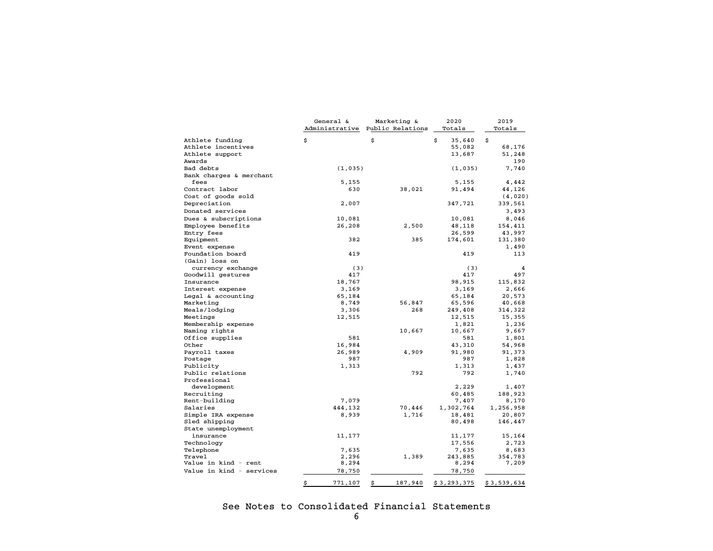|                          | General &      | Marketing &      | 2020         | 2019        |  |
|--------------------------|----------------|------------------|--------------|-------------|--|
|                          | Administrative | Public Relations | Totals       | Totals      |  |
| Athlete funding          | \$             | \$               | \$<br>35,640 | \$          |  |
| Athlete incentives       |                |                  | 55,082       | 68,176      |  |
| Athlete support          |                |                  | 13,687       | 51,248      |  |
| Awards                   |                |                  |              | 190         |  |
| Bad debts                | (1,035)        |                  | (1,035)      | 7,740       |  |
| Bank charges & merchant  |                |                  |              |             |  |
| fees                     | 5,155          |                  | 5,155        | 4,442       |  |
| Contract labor           | 630            | 38,021           | 91,494       | 44,126      |  |
| Cost of goods sold       |                |                  |              | (4,020)     |  |
| Depreciation             | 2,007          |                  | 347,721      | 339,561     |  |
| Donated services         |                |                  |              | 3,493       |  |
| Dues & subscriptions     | 10,081         |                  | 10,081       | 8,046       |  |
| Employee benefits        | 26,208         | 2,500            | 48,118       | 154,411     |  |
| Entry fees               |                |                  | 26,599       | 43,997      |  |
| Equipment                | 382            | 385              | 174,601      | 131,380     |  |
| Event expense            |                |                  |              | 1,490       |  |
| Foundation board         | 419            |                  | 419          | 113         |  |
| (Gain) loss on           |                |                  |              |             |  |
| currency exchange        | (3)            |                  | (3)          | 4           |  |
| Goodwill gestures        | 417            |                  | 417          | 497         |  |
| Insurance                | 18,767         |                  | 98,915       | 115,832     |  |
| Interest expense         | 3,169          |                  | 3,169        | 2,666       |  |
| Legal & accounting       | 65,184         |                  | 65,184       | 20,573      |  |
| Marketing                | 8,749          | 56,847           | 65,596       | 40,668      |  |
| Meals/lodging            | 3,306          | 268              | 249,408      | 314,322     |  |
| Meetings                 | 12,515         |                  | 12,515       | 15,355      |  |
| Membership expense       |                |                  | 1,821        | 1,236       |  |
| Naming rights            |                | 10,667           | 10,667       | 9,667       |  |
| Office supplies          | 581            |                  | 581          | 1,801       |  |
| Other                    | 16,984         |                  | 43,310       | 54,968      |  |
| Payroll taxes            | 26,989         | 4,909            | 91,980       | 91,373      |  |
| Postage                  | 987            |                  | 987          | 1,828       |  |
| Publicity                | 1,313          |                  | 1,313        | 1,437       |  |
| Public relations         |                | 792              | 792          | 1,740       |  |
| Professional             |                |                  |              |             |  |
| development              |                |                  | 2,229        | 1,407       |  |
| Recruiting               |                |                  | 60,485       | 188,923     |  |
| Rent-building            | 7,079          |                  | 7,407        | 8,170       |  |
| Salaries                 | 444,132        | 70,446           | 1,302,764    | 1,256,958   |  |
| Simple IRA expense       | 8,939          | 1,716            | 18,481       | 20,807      |  |
| Sled shipping            |                |                  | 80,498       | 146,447     |  |
| State unemployment       |                |                  |              |             |  |
| insurance                | 11,177         |                  | 11,177       | 15,164      |  |
| Technology               |                |                  | 17,556       | 2,723       |  |
| Telephone                | 7,635          |                  | 7,635        | 8,683       |  |
| Travel                   | 2,296          | 1,389            | 243,885      | 354,783     |  |
| Value in kind – rent     | 8,294          |                  | 8,294        | 7,209       |  |
| Value in kind – services | 78,750         |                  | 78,750       |             |  |
|                          | \$<br>771,107  | \$<br>187,940    | \$3,293,375  | \$3,539,634 |  |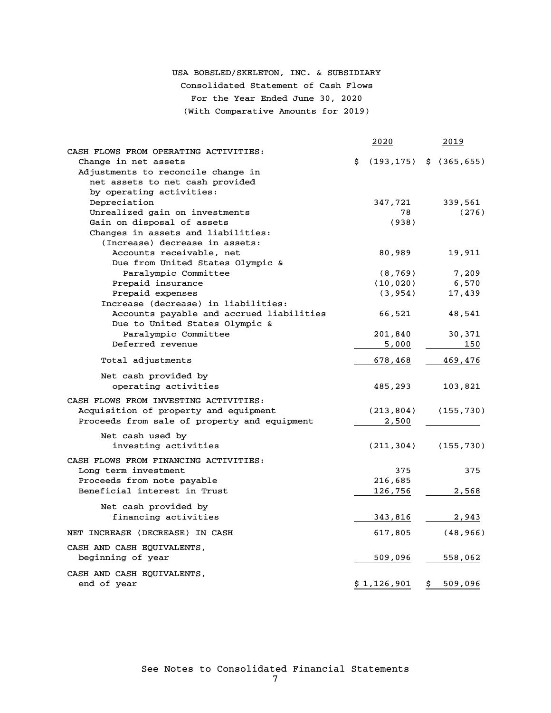# USA BOBSLED/SKELETON, INC. & SUBSIDIARY Consolidated Statement of Cash Flows For the Year Ended June 30, 2020 (With Comparative Amounts for 2019)

|                                              |    | 2020                         | <u> 2019 </u> |
|----------------------------------------------|----|------------------------------|---------------|
| CASH FLOWS FROM OPERATING ACTIVITIES:        |    |                              |               |
| Change in net assets                         | Ŝ. | $(193, 175)$ \$ $(365, 655)$ |               |
| Adjustments to reconcile change in           |    |                              |               |
| net assets to net cash provided              |    |                              |               |
| by operating activities:                     |    |                              |               |
| Depreciation                                 |    | 347,721                      | 339,561       |
| Unrealized gain on investments               |    | 78                           | (276)         |
| Gain on disposal of assets                   |    | (938)                        |               |
| Changes in assets and liabilities:           |    |                              |               |
| (Increase) decrease in assets:               |    |                              |               |
| Accounts receivable, net                     |    | 80,989                       | 19,911        |
| Due from United States Olympic &             |    |                              |               |
| Paralympic Committee                         |    | (8, 769)                     | 7,209         |
| Prepaid insurance                            |    | (10, 020)                    | 6,570         |
| Prepaid expenses                             |    | (3, 954)                     | 17,439        |
| Increase (decrease) in liabilities:          |    |                              |               |
| Accounts payable and accrued liabilities     |    | 66,521                       | 48,541        |
| Due to United States Olympic &               |    |                              |               |
| Paralympic Committee                         |    | 201,840                      | 30,371        |
| Deferred revenue                             |    | 5,000                        | 150           |
| Total adjustments                            |    | 678,468                      | 469,476       |
|                                              |    |                              |               |
| Net cash provided by                         |    |                              |               |
| operating activities                         |    | 485,293                      | 103,821       |
| CASH FLOWS FROM INVESTING ACTIVITIES:        |    |                              |               |
| Acquisition of property and equipment        |    | (213,804)                    | (155, 730)    |
| Proceeds from sale of property and equipment |    | 2,500                        |               |
| Net cash used by                             |    |                              |               |
| investing activities                         |    | (211, 304)                   | (155, 730)    |
|                                              |    |                              |               |
| CASH FLOWS FROM FINANCING ACTIVITIES:        |    |                              |               |
| Long term investment                         |    | 375                          | 375           |
| Proceeds from note payable                   |    | 216,685                      |               |
| Beneficial interest in Trust                 |    | 126,756                      | 2,568         |
| Net cash provided by                         |    |                              |               |
| financing activities                         |    | 343,816                      | 2,943         |
|                                              |    |                              |               |
| NET INCREASE (DECREASE) IN CASH              |    | 617,805                      | (48, 966)     |
| CASH AND CASH EQUIVALENTS,                   |    |                              |               |
| beginning of year                            |    | 509,096                      | 558,062       |
| CASH AND CASH EQUIVALENTS,                   |    |                              |               |
| end of year                                  |    | \$1,126,901                  | \$<br>509,096 |
|                                              |    |                              |               |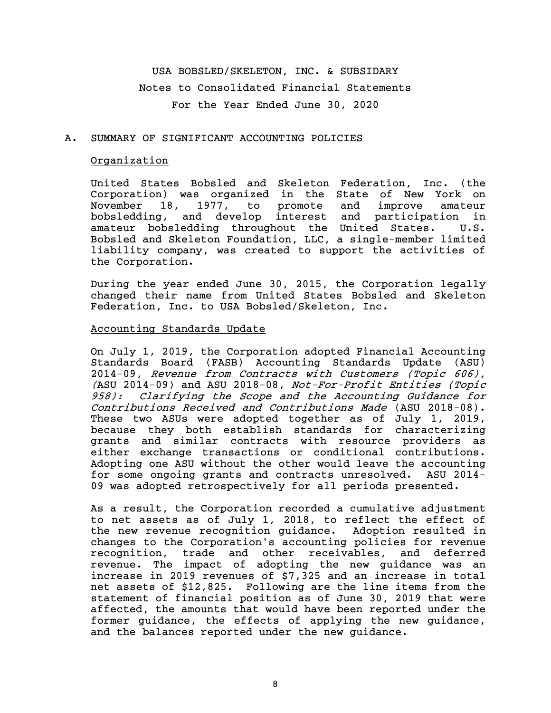USA BOBSLED/SKELETON, INC. & SUBSIDARY Notes to Consolidated Financial Statements For the Year Ended June 30, 2020

# A. SUMMARY OF SIGNIFICANT ACCOUNTING POLICIES

# Organization

United States Bobsled and Skeleton Federation, Inc. (the Corporation) was organized in the State of New York on November 18, 1977, to promote and improve amateur bobsledding, and develop interest and participation in amateur bobsledding throughout the United States. U.S. Bobsled and Skeleton Foundation, LLC, a single-member limited liability company, was created to support the activities of the Corporation.

During the year ended June 30, 2015, the Corporation legally changed their name from United States Bobsled and Skeleton Federation, Inc. to USA Bobsled/Skeleton, Inc.

### Accounting Standards Update

On July 1, 2019, the Corporation adopted Financial Accounting Standards Board (FASB) Accounting Standards Update (ASU) 2014-09, Revenue from Contracts with Customers (Topic 606), (ASU 2014-09) and ASU 2018-08, Not-For-Profit Entities (Topic 958): Clarifying the Scope and the Accounting Guidance for Contributions Received and Contributions Made (ASU 2018-08). These two ASUs were adopted together as of July 1, 2019, because they both establish standards for characterizing grants and similar contracts with resource providers as either exchange transactions or conditional contributions. Adopting one ASU without the other would leave the accounting for some ongoing grants and contracts unresolved. ASU 2014- 09 was adopted retrospectively for all periods presented.

As a result, the Corporation recorded a cumulative adjustment to net assets as of July 1, 2018, to reflect the effect of the new revenue recognition guidance. Adoption resulted in changes to the Corporation's accounting policies for revenue recognition, trade and other receivables, and deferred revenue. The impact of adopting the new guidance was an increase in 2019 revenues of \$7,325 and an increase in total net assets of \$12,825. Following are the line items from the statement of financial position as of June 30, 2019 that were affected, the amounts that would have been reported under the former guidance, the effects of applying the new guidance, and the balances reported under the new guidance.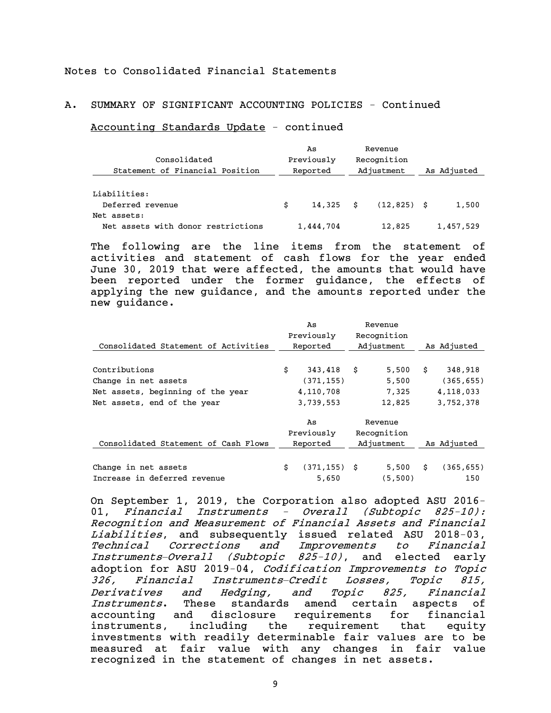# A. SUMMARY OF SIGNIFICANT ACCOUNTING POLICIES - Continued

#### Accounting Standards Update - continued

| Consolidated<br>Statement of Financial Position   | As<br>Previously<br>Reported |           | Revenue<br>Recognition<br>Adjustment | As Adjusted |
|---------------------------------------------------|------------------------------|-----------|--------------------------------------|-------------|
| Liabilities:<br>Deferred revenue                  | Ŝ.                           | 14.325 \$ | $(12, 825)$ \$                       | 1,500       |
| Net assets:<br>Net assets with donor restrictions |                              | 1,444,704 | 12,825                               | 1,457,529   |

The following are the line items from the statement of activities and statement of cash flows for the year ended June 30, 2019 that were affected, the amounts that would have been reported under the former guidance, the effects of applying the new guidance, and the amounts reported under the new guidance.

|                                      | As |                 | Revenue     |    |             |
|--------------------------------------|----|-----------------|-------------|----|-------------|
|                                      |    | Previously      | Recognition |    |             |
| Consolidated Statement of Activities |    | Reported        | Adjustment  |    | As Adjusted |
|                                      |    |                 |             |    |             |
| Contributions                        | \$ | 343,418         | \$<br>5,500 | Ŝ. | 348,918     |
| Change in net assets                 |    | (371, 155)      | 5,500       |    | (365, 655)  |
| Net assets, beginning of the year    |    | 4,110,708       | 7.325       |    | 4, 118, 033 |
| Net assets, end of the year          |    | 3,739,553       | 12,825      |    | 3,752,378   |
|                                      |    | As              | Revenue     |    |             |
|                                      |    | Previously      | Recognition |    |             |
| Consolidated Statement of Cash Flows |    | Reported        | Adjustment  |    | As Adjusted |
|                                      |    |                 |             |    |             |
| Change in net assets                 | \$ | $(371, 155)$ \$ | 5,500       | Ŝ. | (365, 655)  |
| Increase in deferred revenue         |    | 5,650           | (5,500)     |    | 150         |

On September 1, 2019, the Corporation also adopted ASU 2016- 01, Financial Instruments - Overall (Subtopic 825-10): Recognition and Measurement of Financial Assets and Financial Liabilities, and subsequently issued related ASU 2018-03, Technical Corrections and Improvements to Financial Instruments*—*Overall (Subtopic 825-10), and elected early adoption for ASU 2019-04, Codification Improvements to Topic 326, Financial Instruments*—*Credit Losses, Topic 815, Derivatives and Hedging, and Topic 825, Financial Instruments. These standards amend certain aspects of accounting and disclosure requirements for financial instruments, including the requirement that equity investments with readily determinable fair values are to be measured at fair value with any changes in fair value recognized in the statement of changes in net assets.

9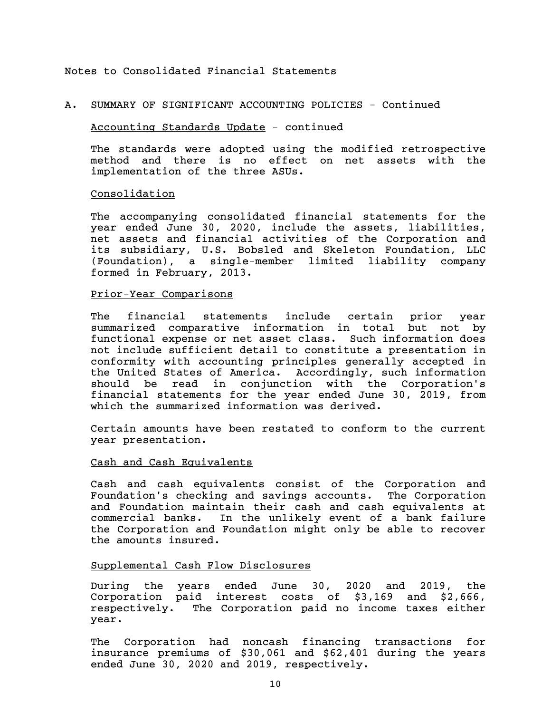### A. SUMMARY OF SIGNIFICANT ACCOUNTING POLICIES - Continued

### Accounting Standards Update - continued

The standards were adopted using the modified retrospective method and there is no effect on net assets with the implementation of the three ASUs.

### Consolidation

The accompanying consolidated financial statements for the year ended June 30, 2020, include the assets, liabilities, net assets and financial activities of the Corporation and its subsidiary, U.S. Bobsled and Skeleton Foundation, LLC (Foundation), a single-member limited liability company formed in February, 2013.

# Prior-Year Comparisons

The financial statements include certain prior year summarized comparative information in total but not by functional expense or net asset class. Such information does not include sufficient detail to constitute a presentation in conformity with accounting principles generally accepted in the United States of America. Accordingly, such information should be read in conjunction with the Corporation's financial statements for the year ended June 30, 2019, from which the summarized information was derived.

Certain amounts have been restated to conform to the current year presentation.

# Cash and Cash Equivalents

Cash and cash equivalents consist of the Corporation and Foundation's checking and savings accounts. The Corporation and Foundation maintain their cash and cash equivalents at commercial banks. In the unlikely event of a bank failure the Corporation and Foundation might only be able to recover the amounts insured.

#### Supplemental Cash Flow Disclosures

During the years ended June 30, 2020 and 2019, the Corporation paid interest costs of \$3,169 and \$2,666, respectively. The Corporation paid no income taxes either year.

The Corporation had noncash financing transactions for insurance premiums of \$30,061 and \$62,401 during the years ended June 30, 2020 and 2019, respectively.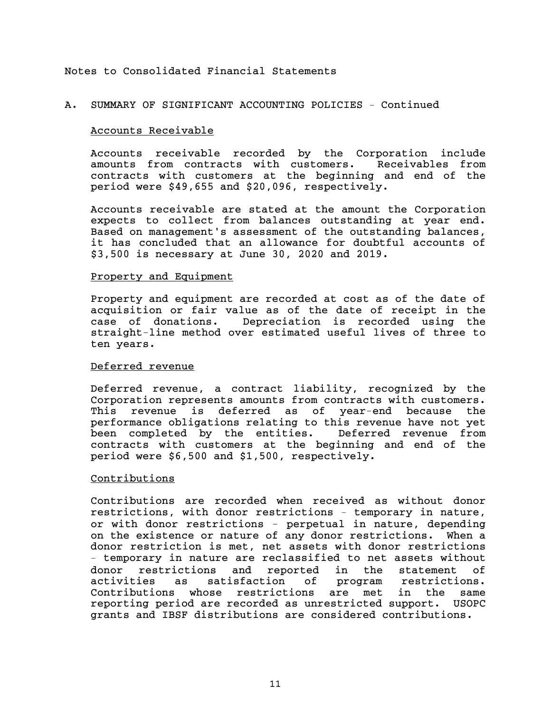# A. SUMMARY OF SIGNIFICANT ACCOUNTING POLICIES – Continued

#### Accounts Receivable

Accounts receivable recorded by the Corporation include amounts from contracts with customers. Receivables from contracts with customers at the beginning and end of the period were \$49,655 and \$20,096, respectively.

Accounts receivable are stated at the amount the Corporation expects to collect from balances outstanding at year end. Based on management's assessment of the outstanding balances, it has concluded that an allowance for doubtful accounts of \$3,500 is necessary at June 30, 2020 and 2019.

#### Property and Equipment

Property and equipment are recorded at cost as of the date of acquisition or fair value as of the date of receipt in the case of donations. Depreciation is recorded using the straight-line method over estimated useful lives of three to ten years.

# Deferred revenue

Deferred revenue, a contract liability, recognized by the Corporation represents amounts from contracts with customers. This revenue is deferred as of year-end because the performance obligations relating to this revenue have not yet been completed by the entities. Deferred revenue from contracts with customers at the beginning and end of the period were \$6,500 and \$1,500, respectively.

# Contributions

Contributions are recorded when received as without donor restrictions, with donor restrictions – temporary in nature, or with donor restrictions - perpetual in nature, depending on the existence or nature of any donor restrictions. When a donor restriction is met, net assets with donor restrictions – temporary in nature are reclassified to net assets without donor restrictions and reported in the statement of activities as satisfaction of program restrictions. Contributions whose restrictions are met in the same reporting period are recorded as unrestricted support. USOPC grants and IBSF distributions are considered contributions.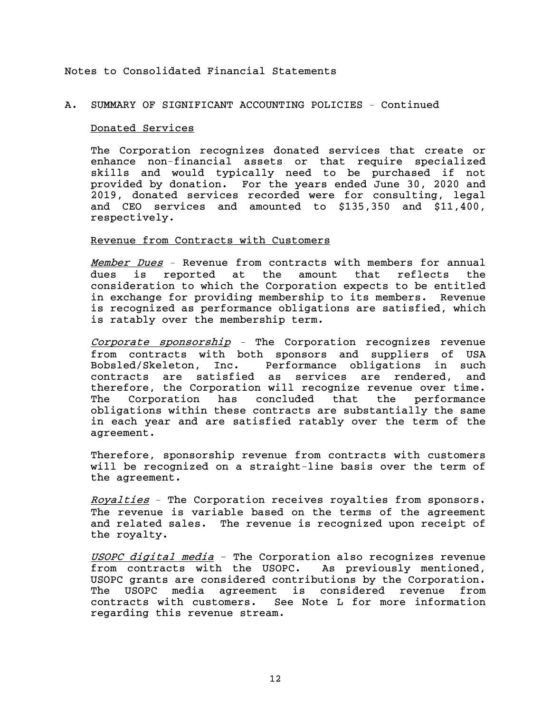# A. SUMMARY OF SIGNIFICANT ACCOUNTING POLICIES – Continued

#### Donated Services

The Corporation recognizes donated services that create or enhance non-financial assets or that require specialized skills and would typically need to be purchased if not provided by donation. For the years ended June 30, 2020 and 2019, donated services recorded were for consulting, legal and CEO services and amounted to \$135,350 and \$11,400, respectively.

#### Revenue from Contracts with Customers

Member Dues – Revenue from contracts with members for annual dues is reported at the amount that reflects the consideration to which the Corporation expects to be entitled in exchange for providing membership to its members. Revenue is recognized as performance obligations are satisfied, which is ratably over the membership term.

Corporate sponsorship *–* The Corporation recognizes revenue from contracts with both sponsors and suppliers of USA Bobsled/Skeleton, Inc. Performance obligations in such contracts are satisfied as services are rendered, and therefore, the Corporation will recognize revenue over time. The Corporation has concluded that the performance obligations within these contracts are substantially the same in each year and are satisfied ratably over the term of the agreement.

Therefore, sponsorship revenue from contracts with customers will be recognized on a straight-line basis over the term of the agreement.

Royalties – The Corporation receives royalties from sponsors. The revenue is variable based on the terms of the agreement and related sales. The revenue is recognized upon receipt of the royalty.

USOPC digital media - The Corporation also recognizes revenue from contracts with the USOPC. As previously mentioned, USOPC grants are considered contributions by the Corporation. The USOPC media agreement is considered revenue from contracts with customers. See Note L for more information regarding this revenue stream.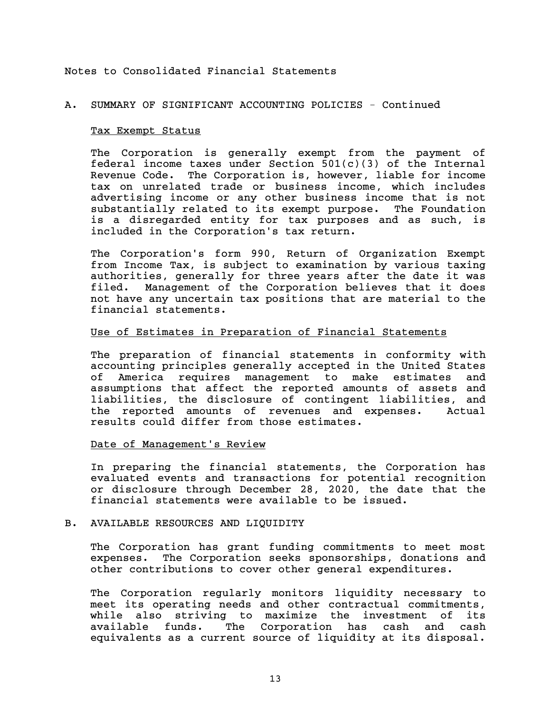### A. SUMMARY OF SIGNIFICANT ACCOUNTING POLICIES - Continued

#### Tax Exempt Status

The Corporation is generally exempt from the payment of federal income taxes under Section  $501(c)(3)$  of the Internal Revenue Code. The Corporation is, however, liable for income tax on unrelated trade or business income, which includes advertising income or any other business income that is not substantially related to its exempt purpose. The Foundation is a disregarded entity for tax purposes and as such, is included in the Corporation's tax return.

The Corporation's form 990, Return of Organization Exempt from Income Tax, is subject to examination by various taxing authorities, generally for three years after the date it was filed. Management of the Corporation believes that it does not have any uncertain tax positions that are material to the financial statements.

### Use of Estimates in Preparation of Financial Statements

The preparation of financial statements in conformity with accounting principles generally accepted in the United States of America requires management to make estimates and assumptions that affect the reported amounts of assets and liabilities, the disclosure of contingent liabilities, and the reported amounts of revenues and expenses. Actual results could differ from those estimates.

#### Date of Management's Review

In preparing the financial statements, the Corporation has evaluated events and transactions for potential recognition or disclosure through December 28, 2020, the date that the financial statements were available to be issued.

#### B. AVAILABLE RESOURCES AND LIQUIDITY

The Corporation has grant funding commitments to meet most expenses. The Corporation seeks sponsorships, donations and other contributions to cover other general expenditures.

The Corporation regularly monitors liquidity necessary to meet its operating needs and other contractual commitments, while also striving to maximize the investment of its available funds. The Corporation has cash and cash equivalents as a current source of liquidity at its disposal.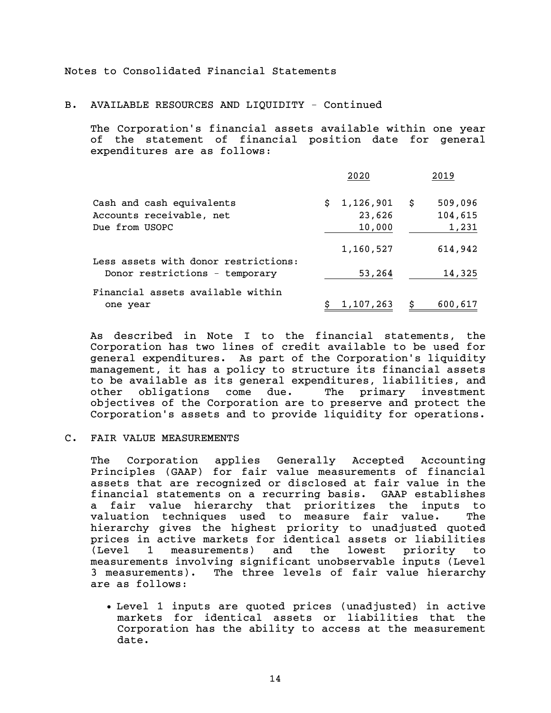B. AVAILABLE RESOURCES AND LIQUIDITY - Continued

The Corporation's financial assets available within one year of the statement of financial position date for general expenditures are as follows:

|                                                       | 2020                      |      | 2019               |
|-------------------------------------------------------|---------------------------|------|--------------------|
| Cash and cash equivalents<br>Accounts receivable, net | \$<br>1,126,901<br>23,626 | - \$ | 509,096<br>104,615 |
| Due from USOPC                                        | 10,000                    |      | 1,231              |
| Less assets with donor restrictions:                  | 1,160,527                 |      | 614,942            |
| Donor restrictions - temporary                        | 53,264                    |      | 14,325             |
| Financial assets available within<br>one year         | 1,107,263                 | \$   | 600,617            |

As described in Note I to the financial statements, the Corporation has two lines of credit available to be used for general expenditures. As part of the Corporation's liquidity management, it has a policy to structure its financial assets to be available as its general expenditures, liabilities, and other obligations come due. The primary investment objectives of the Corporation are to preserve and protect the Corporation's assets and to provide liquidity for operations.

#### C. FAIR VALUE MEASUREMENTS

The Corporation applies Generally Accepted Accounting Principles (GAAP) for fair value measurements of financial assets that are recognized or disclosed at fair value in the financial statements on a recurring basis. GAAP establishes a fair value hierarchy that prioritizes the inputs to valuation techniques used to measure fair value. The hierarchy gives the highest priority to unadjusted quoted prices in active markets for identical assets or liabilities (Level 1 measurements) and the lowest priority to measurements involving significant unobservable inputs (Level 3 measurements). The three levels of fair value hierarchy are as follows:

 Level 1 inputs are quoted prices (unadjusted) in active markets for identical assets or liabilities that the Corporation has the ability to access at the measurement date.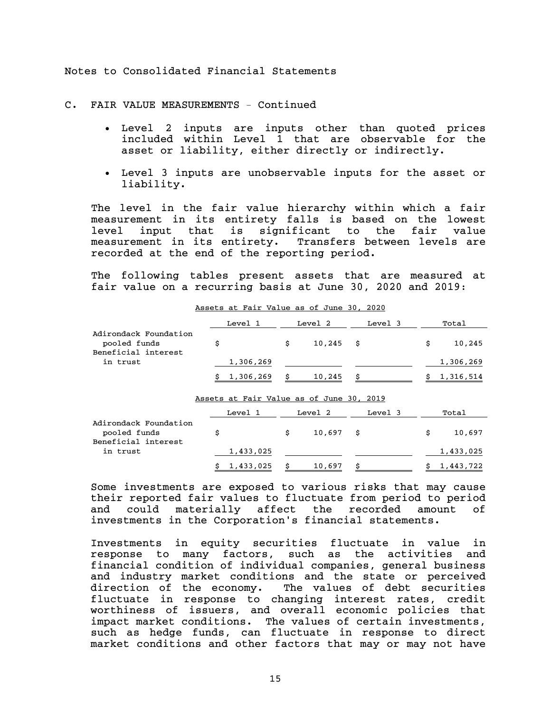C. FAIR VALUE MEASUREMENTS – Continued

- Level 2 inputs are inputs other than quoted prices included within Level 1 that are observable for the asset or liability, either directly or indirectly.
- Level 3 inputs are unobservable inputs for the asset or liability.

The level in the fair value hierarchy within which a fair measurement in its entirety falls is based on the lowest level input that is significant to the fair value measurement in its entirety. Transfers between levels are recorded at the end of the reporting period.

The following tables present assets that are measured at fair value on a recurring basis at June 30, 2020 and 2019:

|                                       | Level 1     | Level 2   | Level 3 | Total     |
|---------------------------------------|-------------|-----------|---------|-----------|
| Adirondack Foundation<br>pooled funds |             | 10,245 \$ |         | 10,245    |
| Beneficial interest<br>in trust       | 1,306,269   |           |         | 1,306,269 |
|                                       | \$1,306,269 | 10,245    |         | 1,316,514 |

Assets at Fair Value as of June 30, 2020

Assets at Fair Value as of June 30, 2019

|                                       | Level 1     | Level 2   | Level 3 | Total     |
|---------------------------------------|-------------|-----------|---------|-----------|
| Adirondack Foundation<br>pooled funds |             | 10,697 \$ |         | 10,697    |
| Beneficial interest<br>in trust       | 1,433,025   |           |         | 1,433,025 |
|                                       | \$1,433,025 | 10,697    |         | 1,443,722 |

Some investments are exposed to various risks that may cause their reported fair values to fluctuate from period to period and could materially affect the recorded amount of investments in the Corporation's financial statements.

Investments in equity securities fluctuate in value in response to many factors, such as the activities and financial condition of individual companies, general business and industry market conditions and the state or perceived direction of the economy. The values of debt securities fluctuate in response to changing interest rates, credit worthiness of issuers, and overall economic policies that impact market conditions. The values of certain investments, such as hedge funds, can fluctuate in response to direct market conditions and other factors that may or may not have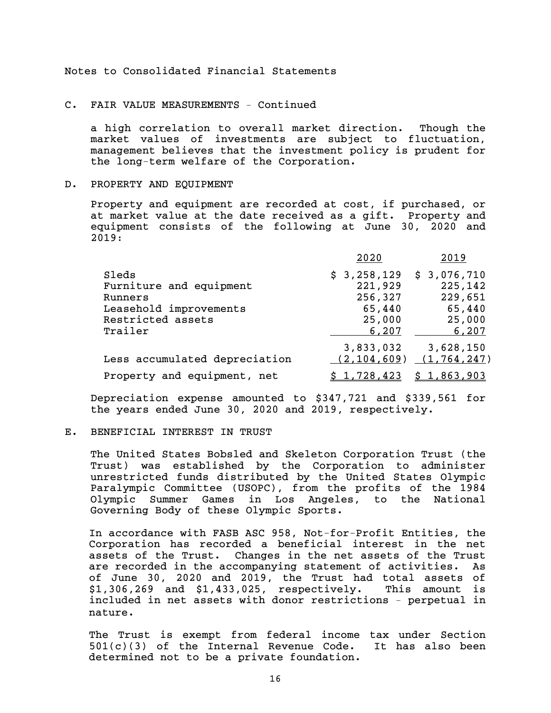#### C. FAIR VALUE MEASUREMENTS – Continued

a high correlation to overall market direction. Though the market values of investments are subject to fluctuation, management believes that the investment policy is prudent for the long-term welfare of the Corporation.

### D. PROPERTY AND EQUIPMENT

Property and equipment are recorded at cost, if purchased, or at market value at the date received as a gift. Property and equipment consists of the following at June 30, 2020 and 2019:

|                                                                                                       | 2020                                                           | 2019                                                           |
|-------------------------------------------------------------------------------------------------------|----------------------------------------------------------------|----------------------------------------------------------------|
| Sleds<br>Furniture and equipment<br>Runners<br>Leasehold improvements<br>Restricted assets<br>Trailer | \$3,258,129<br>221,929<br>256,327<br>65,440<br>25,000<br>6,207 | \$3,076,710<br>225,142<br>229,651<br>65,440<br>25,000<br>6,207 |
| Less accumulated depreciation                                                                         | 3,833,032<br>(2, 104, 609)                                     | 3,628,150<br>(1, 764, 247)                                     |
| Property and equipment, net                                                                           | 1,728,423                                                      | \$1,863,903                                                    |

Depreciation expense amounted to \$347,721 and \$339,561 for the years ended June 30, 2020 and 2019, respectively.

#### E. BENEFICIAL INTEREST IN TRUST

The United States Bobsled and Skeleton Corporation Trust (the Trust) was established by the Corporation to administer unrestricted funds distributed by the United States Olympic Paralympic Committee (USOPC), from the profits of the 1984 Olympic Summer Games in Los Angeles, to the National Governing Body of these Olympic Sports.

In accordance with FASB ASC 958, Not-for-Profit Entities, the Corporation has recorded a beneficial interest in the net assets of the Trust. Changes in the net assets of the Trust are recorded in the accompanying statement of activities. As of June 30, 2020 and 2019, the Trust had total assets of \$1,306,269 and \$1,433,025, respectively. This amount is included in net assets with donor restrictions – perpetual in nature.

The Trust is exempt from federal income tax under Section  $501(c)(3)$  of the Internal Revenue Code. It has also been determined not to be a private foundation.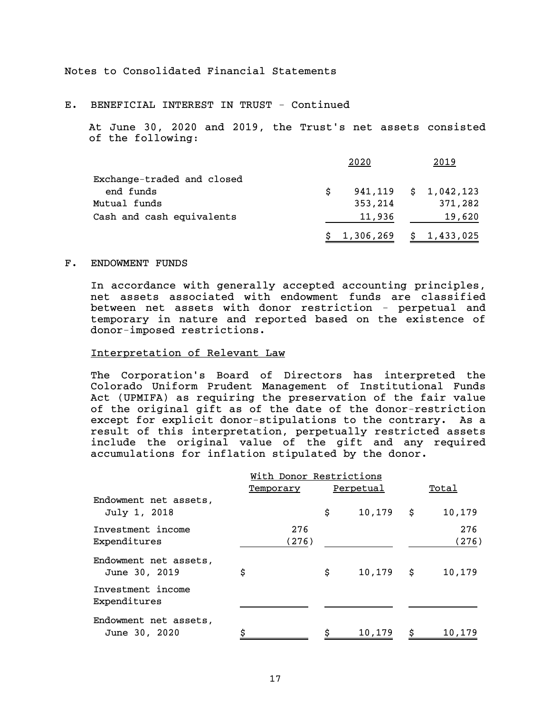E. BENEFICIAL INTEREST IN TRUST - Continued

At June 30, 2020 and 2019, the Trust's net assets consisted of the following:

|                            |   | 2020                       | 2019                        |
|----------------------------|---|----------------------------|-----------------------------|
| Exchange-traded and closed |   |                            |                             |
| end funds                  | S |                            | $941, 119 \quad $1,042,123$ |
| Mutual funds               |   | 353,214                    | 371,282                     |
| Cash and cash equivalents  |   | 11,936                     | 19,620                      |
|                            |   | $$1,306,269 \t$ 1,433,025$ |                             |

#### F. ENDOWMENT FUNDS

In accordance with generally accepted accounting principles, net assets associated with endowment funds are classified between net assets with donor restriction - perpetual and temporary in nature and reported based on the existence of donor-imposed restrictions.

# Interpretation of Relevant Law

The Corporation's Board of Directors has interpreted the Colorado Uniform Prudent Management of Institutional Funds Act (UPMIFA) as requiring the preservation of the fair value of the original gift as of the date of the donor-restriction except for explicit donor-stipulations to the contrary. As a result of this interpretation, perpetually restricted assets include the original value of the gift and any required accumulations for inflation stipulated by the donor.

|                                        | With Donor Restrictions |           |              |  |              |  |  |  |  |
|----------------------------------------|-------------------------|-----------|--------------|--|--------------|--|--|--|--|
|                                        | Temporary               | Perpetual |              |  | Total        |  |  |  |  |
| Endowment net assets,<br>July 1, 2018  |                         | \$        | $10,179$ \$  |  | 10,179       |  |  |  |  |
| Investment income<br>Expenditures      | 276<br>(276)            |           |              |  | 276<br>(276) |  |  |  |  |
| Endowment net assets,<br>June 30, 2019 | \$                      | \$        | $10, 179$ \$ |  | 10,179       |  |  |  |  |
| Investment income<br>Expenditures      |                         |           |              |  |              |  |  |  |  |
| Endowment net assets,<br>June 30, 2020 | Ś                       |           | 10,179       |  | 10,179       |  |  |  |  |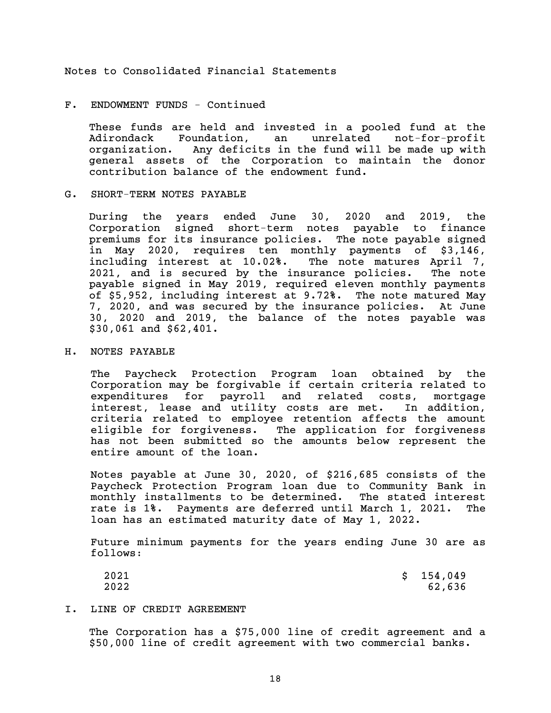#### F. ENDOWMENT FUNDS - Continued

These funds are held and invested in a pooled fund at the Adirondack Foundation, an unrelated not-for-profit organization. Any deficits in the fund will be made up with general assets of the Corporation to maintain the donor contribution balance of the endowment fund.

### G. SHORT-TERM NOTES PAYABLE

During the years ended June 30, 2020 and 2019, the Corporation signed short-term notes payable to finance premiums for its insurance policies. The note payable signed in May 2020, requires ten monthly payments of \$3,146, including interest at 10.02%. The note matures April 7, 2021, and is secured by the insurance policies. The note payable signed in May 2019, required eleven monthly payments of \$5,952, including interest at 9.72%. The note matured May 7, 2020, and was secured by the insurance policies. At June 30, 2020 and 2019, the balance of the notes payable was \$30,061 and \$62,401.

# H. NOTES PAYABLE

The Paycheck Protection Program loan obtained by the Corporation may be forgivable if certain criteria related to expenditures for payroll and related costs, mortgage interest, lease and utility costs are met. In addition, criteria related to employee retention affects the amount eligible for forgiveness. The application for forgiveness has not been submitted so the amounts below represent the entire amount of the loan.

Notes payable at June 30, 2020, of \$216,685 consists of the Paycheck Protection Program loan due to Community Bank in monthly installments to be determined. The stated interest rate is 1%. Payments are deferred until March 1, 2021. The loan has an estimated maturity date of May 1, 2022.

Future minimum payments for the years ending June 30 are as follows:

| 2021 | \$154,049 |
|------|-----------|
| 2022 | 62,636    |

I. LINE OF CREDIT AGREEMENT

The Corporation has a \$75,000 line of credit agreement and a \$50,000 line of credit agreement with two commercial banks.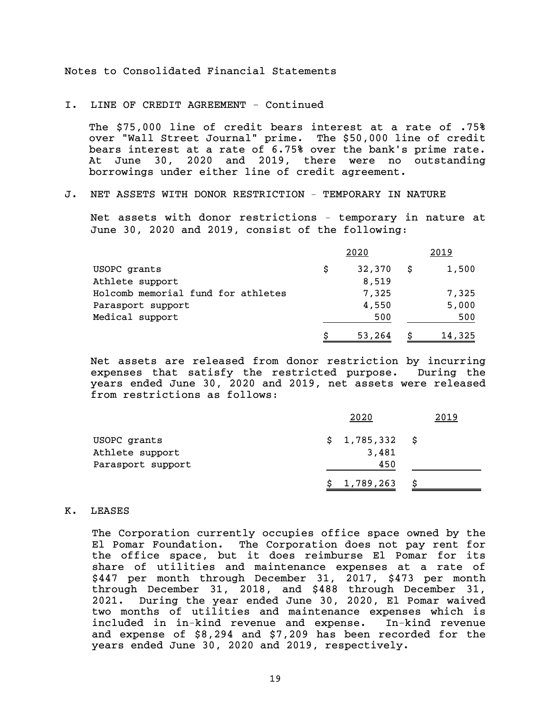I. LINE OF CREDIT AGREEMENT - Continued

The \$75,000 line of credit bears interest at a rate of .75% over "Wall Street Journal" prime. The \$50,000 line of credit bears interest at a rate of 6.75% over the bank's prime rate. At June 30, 2020 and 2019, there were no outstanding borrowings under either line of credit agreement.

# J. NET ASSETS WITH DONOR RESTRICTION – TEMPORARY IN NATURE

Net assets with donor restrictions – temporary in nature at June 30, 2020 and 2019, consist of the following:

|                                    |   | 2020   |    | 2019   |
|------------------------------------|---|--------|----|--------|
| USOPC grants                       | S | 32,370 | S. | 1,500  |
| Athlete support                    |   | 8,519  |    |        |
| Holcomb memorial fund for athletes |   | 7,325  |    | 7,325  |
| Parasport support                  |   | 4,550  |    | 5,000  |
| Medical support                    |   | 500    |    | 500    |
|                                    |   | 53,264 |    | 14,325 |

Net assets are released from donor restriction by incurring expenses that satisfy the restricted purpose. During the years ended June 30, 2020 and 2019, net assets were released from restrictions as follows:

|                   | 2020        | 2019 |
|-------------------|-------------|------|
| USOPC grants      | \$1,785,332 | - S  |
| Athlete support   | 3,481       |      |
| Parasport support | 450         |      |
|                   | \$1,789,263 |      |

K. LEASES

The Corporation currently occupies office space owned by the El Pomar Foundation. The Corporation does not pay rent for the office space, but it does reimburse El Pomar for its share of utilities and maintenance expenses at a rate of \$447 per month through December 31, 2017, \$473 per month through December 31, 2018, and \$488 through December 31, 2021. During the year ended June 30, 2020, El Pomar waived two months of utilities and maintenance expenses which is included in in-kind revenue and expense. In-kind revenue and expense of \$8,294 and \$7,209 has been recorded for the years ended June 30, 2020 and 2019, respectively.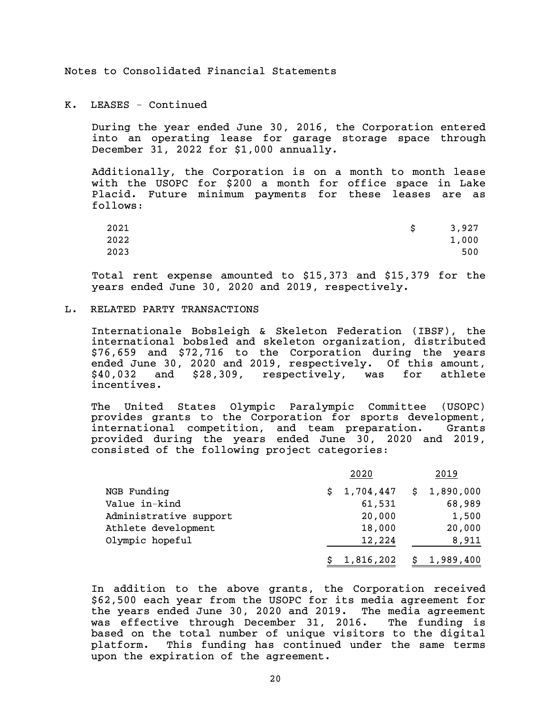K. LEASES - Continued

During the year ended June 30, 2016, the Corporation entered into an operating lease for garage storage space through December 31, 2022 for \$1,000 annually.

Additionally, the Corporation is on a month to month lease with the USOPC for \$200 a month for office space in Lake Placid. Future minimum payments for these leases are as follows:

| 2021 | 3,927 |
|------|-------|
| 2022 | 1,000 |
| 2023 | 500   |

Total rent expense amounted to \$15,373 and \$15,379 for the years ended June 30, 2020 and 2019, respectively.

#### L. RELATED PARTY TRANSACTIONS

Internationale Bobsleigh & Skeleton Federation (IBSF), the international bobsled and skeleton organization, distributed \$76,659 and \$72,716 to the Corporation during the years ended June 30, 2020 and 2019, respectively. Of this amount, \$40,032 and \$28,309, respectively, was for athlete incentives.

The United States Olympic Paralympic Committee (USOPC) provides grants to the Corporation for sports development, international competition, and team preparation. Grants provided during the years ended June 30, 2020 and 2019, consisted of the following project categories:

|                        | 2020      | 2019                      |
|------------------------|-----------|---------------------------|
| NGB Funding            |           | $$1,704,447 \t$1,890,000$ |
| Value in-kind          | 61,531    | 68,989                    |
| Administrative support | 20,000    | 1,500                     |
| Athlete development    | 18,000    | 20,000                    |
| Olympic hopeful        | 12,224    | 8,911                     |
|                        | 1,816,202 | \$1,989,400               |

In addition to the above grants, the Corporation received \$62,500 each year from the USOPC for its media agreement for the years ended June 30, 2020 and 2019. The media agreement was effective through December 31, 2016. The funding is based on the total number of unique visitors to the digital platform. This funding has continued under the same terms upon the expiration of the agreement.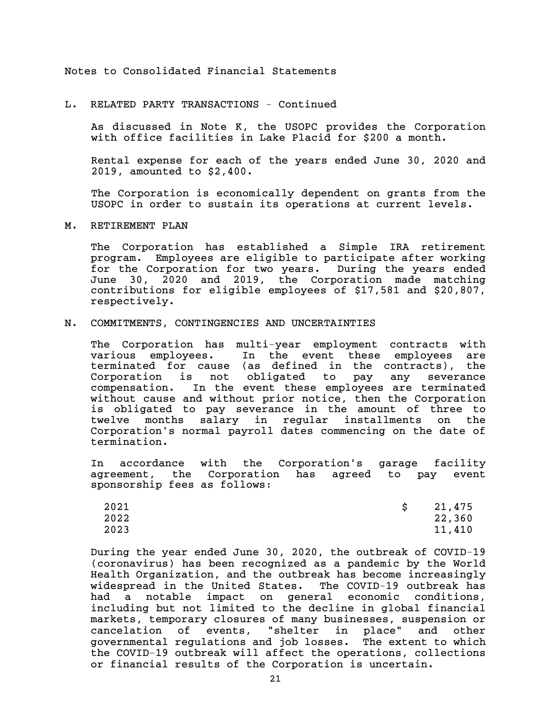L. RELATED PARTY TRANSACTIONS - Continued

As discussed in Note K, the USOPC provides the Corporation with office facilities in Lake Placid for \$200 a month.

Rental expense for each of the years ended June 30, 2020 and 2019, amounted to \$2,400.

The Corporation is economically dependent on grants from the USOPC in order to sustain its operations at current levels.

M. RETIREMENT PLAN

The Corporation has established a Simple IRA retirement program. Employees are eligible to participate after working for the Corporation for two years. During the years ended June 30, 2020 and 2019, the Corporation made matching contributions for eligible employees of \$17,581 and \$20,807, respectively.

#### N. COMMITMENTS, CONTINGENCIES AND UNCERTAINTIES

The Corporation has multi-year employment contracts with various employees. In the event these employees are terminated for cause (as defined in the contracts), the Corporation is not obligated to pay any severance compensation. In the event these employees are terminated without cause and without prior notice, then the Corporation is obligated to pay severance in the amount of three to twelve months salary in regular installments on the Corporation's normal payroll dates commencing on the date of termination.

In accordance with the Corporation's garage facility agreement, the Corporation has agreed to pay event sponsorship fees as follows:

| 2021 | 21,475 |
|------|--------|
| 2022 | 22,360 |
| 2023 | 11,410 |

During the year ended June 30, 2020, the outbreak of COVID-19 (coronavirus) has been recognized as a pandemic by the World Health Organization, and the outbreak has become increasingly widespread in the United States. The COVID-19 outbreak has had a notable impact on general economic conditions, including but not limited to the decline in global financial markets, temporary closures of many businesses, suspension or cancelation of events, "shelter in place" and other governmental regulations and job losses. The extent to which the COVID-19 outbreak will affect the operations, collections or financial results of the Corporation is uncertain.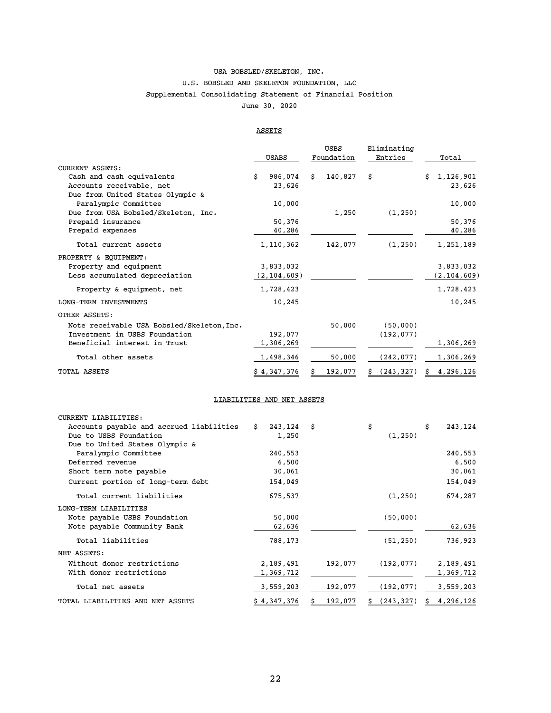# USA BOBSLED/SKELETON, INC. Supplemental Consolidating Statement of Financial Position June 30, 2020 U.S. BOBSLED AND SKELETON FOUNDATION, LLC

#### ASSETS

|                                            |    | USABS         |    | <b>USBS</b><br>Foundation | Eliminating<br>Entries |    | Total         |
|--------------------------------------------|----|---------------|----|---------------------------|------------------------|----|---------------|
| <b>CURRENT ASSETS:</b>                     |    |               |    |                           |                        |    |               |
| Cash and cash equivalents                  | Ś. | 986,074       | Ŝ. | 140,827                   | \$                     | Ś. | 1,126,901     |
| Accounts receivable, net                   |    | 23,626        |    |                           |                        |    | 23,626        |
| Due from United States Olympic &           |    |               |    |                           |                        |    |               |
| Paralympic Committee                       |    | 10,000        |    |                           |                        |    | 10,000        |
| Due from USA Bobsled/Skeleton, Inc.        |    |               |    | 1,250                     | (1, 250)               |    |               |
| Prepaid insurance                          |    | 50,376        |    |                           |                        |    | 50,376        |
| Prepaid expenses                           |    | 40,286        |    |                           |                        |    | 40,286        |
| Total current assets                       |    | 1,110,362     |    | 142,077                   | (1, 250)               |    | 1,251,189     |
| PROPERTY & EQUIPMENT:                      |    |               |    |                           |                        |    |               |
| Property and equipment                     |    | 3,833,032     |    |                           |                        |    | 3,833,032     |
| Less accumulated depreciation              |    | (2, 104, 609) |    |                           |                        |    | (2, 104, 609) |
| Property & equipment, net                  |    | 1,728,423     |    |                           |                        |    | 1,728,423     |
| LONG-TERM INVESTMENTS                      |    | 10,245        |    |                           |                        |    | 10,245        |
| OTHER ASSETS:                              |    |               |    |                           |                        |    |               |
| Note receivable USA Bobsled/Skeleton, Inc. |    |               |    | 50,000                    | (50,000)               |    |               |
| Investment in USBS Foundation              |    | 192,077       |    |                           | (192, 077)             |    |               |
| Beneficial interest in Trust               |    | 1,306,269     |    |                           |                        |    | 1,306,269     |
| Total other assets                         |    | 1,498,346     |    | 50,000                    | (242, 077)             |    | 1,306,269     |
| <b>TOTAL ASSETS</b>                        |    | \$4,347,376   |    | 192,077                   | (243, 327)             | s  | 4,296,126     |

#### LIABILITIES AND NET ASSETS

| CURRENT LIABILITIES:                     |    |             |    |         |                  |                 |
|------------------------------------------|----|-------------|----|---------|------------------|-----------------|
| Accounts payable and accrued liabilities | Ŝ. | 243,124     | Ŝ  |         | \$               | \$<br>243,124   |
| Due to USBS Foundation                   |    | 1,250       |    |         | (1, 250)         |                 |
| Due to United States Olympic &           |    |             |    |         |                  |                 |
| Paralympic Committee                     |    | 240,553     |    |         |                  | 240,553         |
| Deferred revenue                         |    | 6,500       |    |         |                  | 6,500           |
| Short term note payable                  |    | 30,061      |    |         |                  | 30,061          |
| Current portion of long-term debt        |    | 154,049     |    |         |                  | 154,049         |
| Total current liabilities                |    | 675,537     |    |         | (1, 250)         | 674,287         |
| LONG-TERM LIABILITIES                    |    |             |    |         |                  |                 |
| Note payable USBS Foundation             |    | 50,000      |    |         | (50,000)         |                 |
| Note payable Community Bank              |    | 62,636      |    |         |                  | 62,636          |
| Total liabilities                        |    | 788,173     |    |         | (51, 250)        | 736,923         |
| NET ASSETS:                              |    |             |    |         |                  |                 |
| Without donor restrictions               |    | 2,189,491   |    | 192,077 | (192, 077)       | 2,189,491       |
| With donor restrictions                  |    | 1,369,712   |    |         |                  | 1,369,712       |
| Total net assets                         |    | 3,559,203   |    | 192,077 | (192, 077)       | 3,559,203       |
| TOTAL LIABILITIES AND NET ASSETS         |    | \$4,347,376 | \$ | 192,077 | \$<br>(243, 327) | \$<br>4,296,126 |